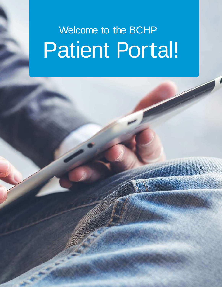# Welcome to the BCHP Patient Portal!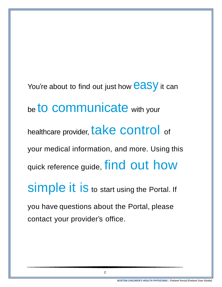You're about to find out just how  $easy$  it can be to communicate with your healthcare provider, take control of your medical information, and more. Using this quick reference guide, find out how Simple it is to start using the Portal. If you have questions about the Portal, please contact your provider's office.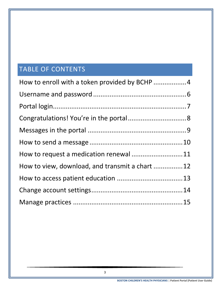# TABLE OF CONTENTS

| How to request a medication renewal 11          |  |
|-------------------------------------------------|--|
| How to view, download, and transmit a chart  12 |  |
|                                                 |  |
|                                                 |  |
|                                                 |  |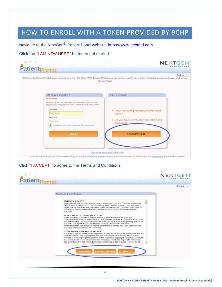# <span id="page-3-0"></span>HOW TO ENROLL WITH A TOKEN PROVIDED BY BCHP

Navigate to the NextGen<sup>®</sup> Patient Portal website. [https://www.nextmd.com](https://www.nextmd.com/)

Click the "I AM NEW HERE" button to get started.

| Patient Portal                                                                                                                                                                                                                                                                         | <b>NEXTGEN</b>                                                                                                                                                                     |
|----------------------------------------------------------------------------------------------------------------------------------------------------------------------------------------------------------------------------------------------------------------------------------------|------------------------------------------------------------------------------------------------------------------------------------------------------------------------------------|
|                                                                                                                                                                                                                                                                                        | English +<br>Welcome to Patient Portal, your medical home on the Web. With Patient Portal, you can connect with your doctor through a convenient, safe, and secure<br>environment. |
| Already a member?                                                                                                                                                                                                                                                                      | I am new here                                                                                                                                                                      |
| Welcomel                                                                                                                                                                                                                                                                               |                                                                                                                                                                                    |
| Please note that the surround and password fields are case.<br>semitive and the pattiword must contain at least one number.<br><b>Username</b><br><b><i><u><i><u>Khaamarna</u></i></u></i></b><br>Password<br>Password<br>Thomas of the winners way all the global USA<br><b>LOGTN</b> | · Have you been provided an enrollment<br>token?<br>Do you have a temporary username and<br>٠<br>password?<br><b>LAM NEW HERE</b>                                                  |
|                                                                                                                                                                                                                                                                                        | Lam.not receiving ergall confications                                                                                                                                              |

Your security is important. We use technology to encrypt, safeguard, and secure your personal information. Please wew our Prises Policy for more information

#### Click "I ACCEPT" to agree to the Terms and Conditions.

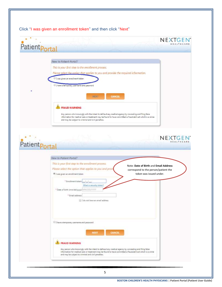## Click "I was given an enrollment token" and then click "Next"

| Patientportal  |                                                                                                                                                                                                                                                                                             |                                                                                                          | NEXTGEN<br>HEALTHCARE |
|----------------|---------------------------------------------------------------------------------------------------------------------------------------------------------------------------------------------------------------------------------------------------------------------------------------------|----------------------------------------------------------------------------------------------------------|-----------------------|
|                | New to Patient Portal?<br>This is your first step to the enrollment process.<br>Please select the ontion that applies to you and provide the required information.                                                                                                                          |                                                                                                          |                       |
| ۰              | I was given an enrollment token<br>I have a temporary usemame and password<br><b>CANCEL</b><br>NEXY                                                                                                                                                                                         |                                                                                                          |                       |
|                | FRAUD WARNING<br>Any person who knowingly with the intent to defraud any medical agency by concealing and filing false<br>information for medical care or treatment may be found to have committed a fraudulent act which is a crime<br>and may be subject to criminal and civil penalties. |                                                                                                          |                       |
|                |                                                                                                                                                                                                                                                                                             |                                                                                                          |                       |
|                |                                                                                                                                                                                                                                                                                             |                                                                                                          | NEXTGEN<br>HEALTHCA   |
| Patient Portal | New to Patient Portal?                                                                                                                                                                                                                                                                      |                                                                                                          |                       |
|                | This is your first step to the enrollment process.<br>Please select the option that applies to you and provi<br>El was given an enrollment token                                                                                                                                            | Note: Date of Birth and Email Address<br>correspond to the person/patient the<br>token was issued under. |                       |
|                | * Enrollment token:<br>$-1$<br>What is serviny token?<br>* Date of birth (mm/dd/yyyy): MM/JDD/YYYY<br>* Email address:<br>I I do not have an email address                                                                                                                                  |                                                                                                          |                       |
|                | 1 have a temporary username and password<br>CANCEL<br><b>NEXT</b>                                                                                                                                                                                                                           |                                                                                                          |                       |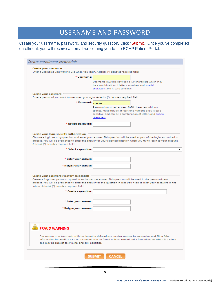# USERNAME AND PASSWORD

<span id="page-5-0"></span>Create your username, password, and security question. Click "Submit." Once you've completed enrollment, you will receive an email welcoming you to the BCHP Patient Portal.

| Create your username                                                                  |                                                                                                                                                                                                                                   |
|---------------------------------------------------------------------------------------|-----------------------------------------------------------------------------------------------------------------------------------------------------------------------------------------------------------------------------------|
| Enter a username you want to use when you login. Asterisk (*) denotes required field. |                                                                                                                                                                                                                                   |
| * Username:                                                                           |                                                                                                                                                                                                                                   |
|                                                                                       | Username must be between 6-50 characters which may                                                                                                                                                                                |
|                                                                                       | be a combination of letters, numbers and special                                                                                                                                                                                  |
|                                                                                       | characters and is case sensitive.                                                                                                                                                                                                 |
| Create your password                                                                  |                                                                                                                                                                                                                                   |
| Enter a password you want to use when you login. Asterisk (*) denotes required field. |                                                                                                                                                                                                                                   |
| * Password:                                                                           |                                                                                                                                                                                                                                   |
|                                                                                       |                                                                                                                                                                                                                                   |
|                                                                                       | Password must be between 8-50 characters with no                                                                                                                                                                                  |
|                                                                                       | spaces, must include at least one numeric digit, is case<br>sensitive, and can be a combination of letters and special                                                                                                            |
|                                                                                       | characters.                                                                                                                                                                                                                       |
|                                                                                       |                                                                                                                                                                                                                                   |
| * Retype password:                                                                    |                                                                                                                                                                                                                                   |
|                                                                                       |                                                                                                                                                                                                                                   |
|                                                                                       |                                                                                                                                                                                                                                   |
| Create your login security authorization                                              | Choose a login security question and enter your answer. This question will be used as part of the login authorization                                                                                                             |
|                                                                                       | process. You will be prompted to enter the answer for your selected question when you try to login to your account.                                                                                                               |
| Asterisk (*) denotes required field.                                                  |                                                                                                                                                                                                                                   |
| * Select a question:                                                                  | ▼                                                                                                                                                                                                                                 |
|                                                                                       |                                                                                                                                                                                                                                   |
|                                                                                       |                                                                                                                                                                                                                                   |
| * Enter your answer:                                                                  |                                                                                                                                                                                                                                   |
| * Retype your answer:                                                                 |                                                                                                                                                                                                                                   |
|                                                                                       |                                                                                                                                                                                                                                   |
|                                                                                       |                                                                                                                                                                                                                                   |
| Create your password recovery credentials                                             |                                                                                                                                                                                                                                   |
|                                                                                       | Create a forgotten password question and enter the answer. This question will be used in the password reset<br>process. You will be prompted to enter the answer for this question in case you need to reset your password in the |
| future. Asterisk (*) denotes required field.                                          |                                                                                                                                                                                                                                   |
|                                                                                       |                                                                                                                                                                                                                                   |
| * Create a question:                                                                  |                                                                                                                                                                                                                                   |
|                                                                                       |                                                                                                                                                                                                                                   |
| * Enter your answer:                                                                  |                                                                                                                                                                                                                                   |
|                                                                                       |                                                                                                                                                                                                                                   |
| * Retype your answer:                                                                 |                                                                                                                                                                                                                                   |
|                                                                                       |                                                                                                                                                                                                                                   |
|                                                                                       |                                                                                                                                                                                                                                   |
|                                                                                       |                                                                                                                                                                                                                                   |
|                                                                                       |                                                                                                                                                                                                                                   |
| <b>FRAUD WARNING</b>                                                                  |                                                                                                                                                                                                                                   |
|                                                                                       |                                                                                                                                                                                                                                   |
|                                                                                       | Any person who knowingly with the intent to defraud any medical agency by concealing and filing false                                                                                                                             |
|                                                                                       | information for medical care or treatment may be found to have committed a fraudulent act which is a crime                                                                                                                        |
| and may be subject to criminal and civil penalties.                                   |                                                                                                                                                                                                                                   |
|                                                                                       |                                                                                                                                                                                                                                   |
|                                                                                       |                                                                                                                                                                                                                                   |
|                                                                                       |                                                                                                                                                                                                                                   |
|                                                                                       | <b>CANCEL</b><br><b>SUBMIT</b>                                                                                                                                                                                                    |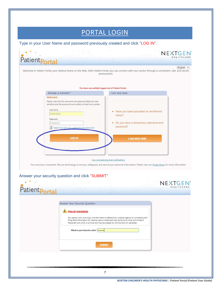## PORTAL LOGIN

<span id="page-6-0"></span>Type in your User Name and password previously created and click "LOG IN".



Your security is important. We use technology to encrypt, safeguard, and secure your personal information. Please view our Privacy Policy for more information

#### Answer your security question and click "SUBMIT"

| Answer Your Security Question                                                                                                                                                                                                                                                                                               |  |
|-----------------------------------------------------------------------------------------------------------------------------------------------------------------------------------------------------------------------------------------------------------------------------------------------------------------------------|--|
| FRAUD WARNING<br>Any person who knowingly with the intent to defraud any medical agency by concealing and<br>filing false information for medical care or treatment may be found to have committed a<br>fraudulent act which is a crime and may be subject to criminal and civil penalties.<br>What is your favorite color? |  |
| <b>SUBMIT</b>                                                                                                                                                                                                                                                                                                               |  |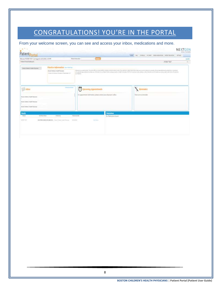# CONGRATULATIONS! YOU'RE IN THE PORTAL

#### <span id="page-7-0"></span>From your welcome screen, you can see and access your inbox, medications and more.

| Patient<br>Wekness WIERT THY And Juged to AULORN, 159-995.<br><b>Parliast Editoration</b><br>Federal Forker Equitable and<br>Frontier Milarmatian resources<br>By the Company Life and Chip is away<br>Booker Disman's House Physicians<br>Science Library Provider of Automobile<br><b>Jordanised</b> | KNE ME : ENELE IN ONT INVINCIOUS NEEDLANDS<br><b>ITSE</b><br><b>STAR</b><br>PATENT TEST<br>(States by participate Thy provider party intellectual party into the second actual to party (you wanter) which would not any our party convey that one at each (V or benefits asing) plughates interactional<br>with confidents applicated in a trade parameter in the firm of most below finded to claim any entities of the financial parameter and information and of antisotic parameter parameter parameter parameter and information par<br><b>CERTAGO ILE L'ESPECIALE PER</b> |
|--------------------------------------------------------------------------------------------------------------------------------------------------------------------------------------------------------------------------------------------------------------------------------------------------------|----------------------------------------------------------------------------------------------------------------------------------------------------------------------------------------------------------------------------------------------------------------------------------------------------------------------------------------------------------------------------------------------------------------------------------------------------------------------------------------------------------------------------------------------------------------------------------|
|                                                                                                                                                                                                                                                                                                        |                                                                                                                                                                                                                                                                                                                                                                                                                                                                                                                                                                                  |
|                                                                                                                                                                                                                                                                                                        |                                                                                                                                                                                                                                                                                                                                                                                                                                                                                                                                                                                  |
|                                                                                                                                                                                                                                                                                                        |                                                                                                                                                                                                                                                                                                                                                                                                                                                                                                                                                                                  |
|                                                                                                                                                                                                                                                                                                        |                                                                                                                                                                                                                                                                                                                                                                                                                                                                                                                                                                                  |
| Ħ<br><b>Goldstate at Eduar</b><br><b>The Indian</b><br>un Kr                                                                                                                                                                                                                                           | <b>Uraming Appointments</b><br>imitders                                                                                                                                                                                                                                                                                                                                                                                                                                                                                                                                          |
| <b>Rodor (Silling) / Fadily Tigalrand</b>                                                                                                                                                                                                                                                              | For apparentment obterrations please contact year physician is affice.<br><b>District to mounter</b>                                                                                                                                                                                                                                                                                                                                                                                                                                                                             |
| States (1980ed L-Fash); The draws-                                                                                                                                                                                                                                                                     |                                                                                                                                                                                                                                                                                                                                                                                                                                                                                                                                                                                  |
| <b>Booker/Iddition's Nasth Plantised</b>                                                                                                                                                                                                                                                               |                                                                                                                                                                                                                                                                                                                                                                                                                                                                                                                                                                                  |
| <b>Results</b>                                                                                                                                                                                                                                                                                         | <b>Medications</b>                                                                                                                                                                                                                                                                                                                                                                                                                                                                                                                                                               |
| Tal Rand Kass<br><b>Johns</b><br><b>Technical Arts</b><br><b>Entrance IV</b>                                                                                                                                                                                                                           | Nu Phistophorn Justal                                                                                                                                                                                                                                                                                                                                                                                                                                                                                                                                                            |
| GLOBEL INVENTORIETY, State Tennes raily feature.<br><b>MENTE</b><br><b>STATISTICS</b><br>www.st.com.www.lictor.com.com                                                                                                                                                                                 | <b>Tel: Telephone</b>                                                                                                                                                                                                                                                                                                                                                                                                                                                                                                                                                            |
|                                                                                                                                                                                                                                                                                                        |                                                                                                                                                                                                                                                                                                                                                                                                                                                                                                                                                                                  |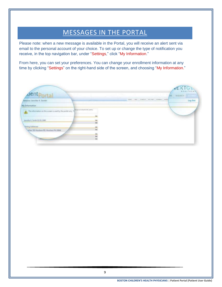# MESSAGES IN THE PORTAL

<span id="page-8-0"></span>Please note: when a new message is available in the Portal, you will receive an alert sent via email to the personal account of your choice. To set up or change the type of notification you receive, in the top navigation bar, under "Settings," click "My Information."

From here, you can set your preferences. You can change your enrollment information at any time by clicking "Settings" on the right-hand side of the screen, and choosing "My Information."

| dentportal                                                                                   |                                 |                                    | EXTGE<br><b>REMARCH</b><br>NB. |
|----------------------------------------------------------------------------------------------|---------------------------------|------------------------------------|--------------------------------|
| fallesme Jannifer K. Smith!                                                                  |                                 | was use, source, writer amount was | Leg Out                        |
| My Information                                                                               |                                 |                                    |                                |
| The information on this screen is used by the portal only. T<br>Jaconfer K. Smith 01/01/1888 | days restarts to output<br>Lat  |                                    |                                |
| <b>Mailing Addresses</b>                                                                     | $rac{\Delta M}{4M}$<br>щ<br>ta. |                                    |                                |
| After 705 Hondom RD. Hanhem PA 23044                                                         | M<br>Eщ<br>tat.                 |                                    |                                |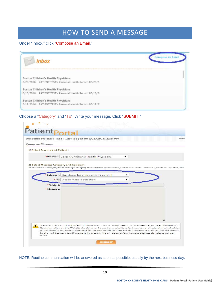# HOW TO SEND A MESSAGE

#### <span id="page-9-0"></span>Under "Inbox," click "Compose an Email."

| Inbox                                                   | <b>Compose an Email</b> |
|---------------------------------------------------------|-------------------------|
| Boston Children's Health Physicians                     |                         |
| 6/20/2016 PATIENT TEST's Personal Health Record 06/20/2 |                         |
| Boston Children's Health Physicians                     |                         |
| 6/16/2016 PATIENT TEST's Personal Health Record 06/16/2 |                         |
| Boston Children's Health Physicians                     |                         |
| 6/15/2016 DATIFNT TEST's Derennal Health Rennrd 06/15/2 |                         |

Choose a "Category" and "To". Write your message. Click "SUBMIT."

|                                          | Welcome PATIENT TEST! Last logged in: 6/15/2016, 1:59 PM                                                                                                                                                                                                                                                                                                                                                                                   |
|------------------------------------------|--------------------------------------------------------------------------------------------------------------------------------------------------------------------------------------------------------------------------------------------------------------------------------------------------------------------------------------------------------------------------------------------------------------------------------------------|
| <b>Compose Message</b>                   |                                                                                                                                                                                                                                                                                                                                                                                                                                            |
| 1) Select Practice and Patient           |                                                                                                                                                                                                                                                                                                                                                                                                                                            |
|                                          | *Practice: Boston Children's Health Physicians<br>۰.                                                                                                                                                                                                                                                                                                                                                                                       |
| 2) Select Message Category and Recipient |                                                                                                                                                                                                                                                                                                                                                                                                                                            |
|                                          | Please select the appropriate message category and recipient from the drop down lists below. Asterisk (*) denotes required field.                                                                                                                                                                                                                                                                                                          |
|                                          | *Category: Questions for your provider or staff<br>۰                                                                                                                                                                                                                                                                                                                                                                                       |
|                                          | *To: Please make a selection<br>۰                                                                                                                                                                                                                                                                                                                                                                                                          |
| * Subject:                               |                                                                                                                                                                                                                                                                                                                                                                                                                                            |
| * Message:                               |                                                                                                                                                                                                                                                                                                                                                                                                                                            |
|                                          | *CALL 911 OR GO TO THE NEAREST EMERGENCY ROOM IMMEDIATELY IF YOU HAVE A MEDICAL EMERGENCY.<br>Communication on this Website should never be used as a substitute for in-person professional medical advice<br>or treatment or for medical emergencies. Routine communication will be answered as soon as possible, usually<br>by the next business day. If you need to speak with a physician before the next business day please call our |
| office.                                  |                                                                                                                                                                                                                                                                                                                                                                                                                                            |
|                                          | <b>SUBMIT</b>                                                                                                                                                                                                                                                                                                                                                                                                                              |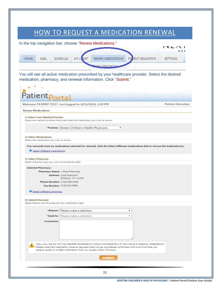# HOW TO REQUEST A MEDICATION RENEWAL

<span id="page-10-0"></span>In the top navigation bar, choose "Renew Medications."  $\sqrt{2}$ HEA **HOME** MAIL SCHEDULE MY CLART RENEW MEDICATIONS PATENT EDUCATION **SETTINGS** ew Medications You will see all active medication prescribed by your healthcare provider. Select the desired medication, pharmacy, and renewal information. Click "Submit."atient Welcome PATIENT TEST! Last logged in: 6/15/2016, 1:59 PM **Patient Education Renew Medications** 1) Select Your Medical Practice Select the medical practice that prescribed the medication you wish to renew.  $\overline{\phantom{0}}$ \*Practice: Boston Children's Health Physicians 2) Select Medications Select the medication you wish to renew. You currently have no medications selected for renewal, click the Select different medications link to choose the medication(s). Select different medications 3) Select Pharmacy Select the pharmacy you wish to handle the refill. **Selected Pharmacy:** Pharmacy Name: 1 Stop Pharmacy Address: 1220 Avenue P Brooklyn, NY 11229 Phone Number: (718) 336-2244 Fax Number: (718) 513-6991 Select different pharmacy 4) Submit Renewal Select Reason and Provider for this medication refill. \*Reason: Please make a selection ۰. "Send to: Please make a selection v. Comments: \*CALL 911 OR GO TO THE NEAREST EMERGENCY ROOM IMMEDIATELY IF YOU HAVE A MEDICAL EMERGENCY. Please note that medication renewal requests shall not be considered confirmed until such time that you receive verbal or written notification from us, usually within 72 hours. **SUBMIT**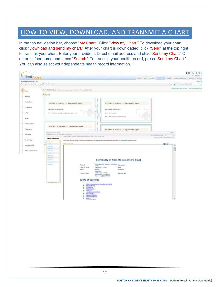## <span id="page-11-0"></span>HOW TO VIEW, DOWNLOAD, AND TRANSMIT A CHART

In the top navigation bar, choose "My Chart." Click "View my Chart." To download your chart, click "Download and send my chart." After your chart is downloaded, click "Send" at the top right to transmit your chart. Enter your provider's Direct email address and click "Send my Chart." Or enter his/her name and press "Search." To transmit your health record, press "Send my Chart." You can also select your dependents health record information.

| Watcome Christopher Lutz!                          | Patientportal                                                          |                                                                       |                                                                                                                                                                                              |                                              | <b>Diciebuts</b><br>HOVE MALL |                                             | PAYMENTS RENEWANDEARDING RESEARCH<br>SETIMAL<br>Log Out |
|----------------------------------------------------|------------------------------------------------------------------------|-----------------------------------------------------------------------|----------------------------------------------------------------------------------------------------------------------------------------------------------------------------------------------|----------------------------------------------|-------------------------------|---------------------------------------------|---------------------------------------------------------|
| Christopher Lytz's Chart Las Vegas Family Practice |                                                                        |                                                                       |                                                                                                                                                                                              |                                              |                               |                                             | Las Vegas Family Practice [m] Sef                       |
| <b>O</b> Datum                                     | Christopher Lutz = Assess Nector, Hastun, 563994 = Phone (2331837-938) |                                                                       |                                                                                                                                                                                              |                                              |                               |                                             | Openhad and send my chall [10hs has coved my char       |
|                                                    | <b>El</b> Visits                                                       |                                                                       |                                                                                                                                                                                              |                                              |                               |                                             |                                                         |
| Atlengies                                          |                                                                        |                                                                       |                                                                                                                                                                                              |                                              |                               |                                             |                                                         |
| Medications.                                       | 4/20/2014 * Unknown * Eigenvalue MD Sophia                             |                                                                       | $\sim$<br>٠                                                                                                                                                                                  | 35/24/2013 * Unknown * Eigenvalue MD Sophia  |                               |                                             |                                                         |
| Conditions                                         | Medications Prescribed:                                                |                                                                       | Medirations Prescribed:                                                                                                                                                                      |                                              |                               |                                             |                                                         |
| Labs:                                              | flio medications were pretcritied during the well.                     |                                                                       | Liphol 10 (ng tatom                                                                                                                                                                          |                                              |                               |                                             |                                                         |
| <b>Yours</b>                                       |                                                                        |                                                                       |                                                                                                                                                                                              | 160 Chero moze list cold to the 1992. Called |                               |                                             |                                                         |
|                                                    |                                                                        |                                                                       |                                                                                                                                                                                              |                                              |                               |                                             |                                                         |
| Immunications                                      | 10/12/2013 = Unknown + Eigenvalue MD Sophia                            |                                                                       |                                                                                                                                                                                              |                                              |                               |                                             |                                                         |
| Procedures                                         | Reinmar Mata Factor & Commer                                           |                                                                       |                                                                                                                                                                                              | 10/11/2013 · Unknown · Egenvalue MD Sephia   |                               | Angelfast                                   |                                                         |
| Insurance                                          | Many Loan & Complete Disch, And Majour Partie Practice 1               | Mary Lynn D'Extrest - reason institutional Hotter - many and ret that |                                                                                                                                                                                              |                                              |                               | to have from finance at 1990.               | ٠                                                       |
| Social History                                     | <b>Select a visit date</b>                                             |                                                                       | built for country that the rises destings to content from PDFs state-Park a suit your. Waise this carried out this state than the materializer, and the method for their factors in the form |                                              |                               | In had as an deal. [ Mayford money as four! |                                                         |
|                                                    | <b>Scott of Con-</b><br>Harrist Hollin<br><b>NAMES</b>                 |                                                                       |                                                                                                                                                                                              |                                              |                               | <b>Gillian</b>                              |                                                         |
| Family History                                     | <b>Michael</b><br><b>Holland</b>                                       |                                                                       |                                                                                                                                                                                              |                                              |                               |                                             |                                                         |
| Advanced Directives                                | <b>ACESS</b>                                                           |                                                                       |                                                                                                                                                                                              |                                              |                               |                                             |                                                         |
|                                                    | <b>Joint Blad</b><br><b>Participants</b>                               |                                                                       |                                                                                                                                                                                              |                                              |                               |                                             |                                                         |
|                                                    | <b>Jesting</b><br><b>MARK</b>                                          |                                                                       | <b>Continuity of Care Document (C-CDA)</b>                                                                                                                                                   |                                              |                               |                                             |                                                         |
|                                                    | <b>Sections</b><br><b>Britisher</b>                                    |                                                                       | Mary Lynn O'Ciannor, MostPerr                                                                                                                                                                |                                              |                               |                                             |                                                         |
|                                                    |                                                                        | <b>Patient</b><br>Date of latth                                       | and.<br>3anjary 1, 1980                                                                                                                                                                      | Language<br>Sen.                             |                               |                                             |                                                         |
|                                                    |                                                                        | Race:                                                                 | White:<br>North Am                                                                                                                                                                           | Efficoty                                     |                               |                                             |                                                         |
|                                                    |                                                                        | Coreact into                                                          | Pits morphorn RD<br>Horsham, PA 19068<br>tel: a t-2156577810                                                                                                                                 | Farkert 10s                                  |                               |                                             |                                                         |
|                                                    |                                                                        | <b>Table of Contents</b>                                              |                                                                                                                                                                                              |                                              |                               |                                             |                                                         |
|                                                    | <b>Construction of Construction</b>                                    | ٠                                                                     | Alstgas, Ahmse Readtors, Ainta                                                                                                                                                               |                                              |                               |                                             |                                                         |
|                                                    |                                                                        | Modroations<br>ä<br>×<br>P: objector                                  |                                                                                                                                                                                              |                                              |                               |                                             |                                                         |
|                                                    |                                                                        | ٠<br><b>EQUIDADES</b><br>w.                                           |                                                                                                                                                                                              |                                              |                               |                                             |                                                         |
|                                                    |                                                                        | <b>Beauch</b>                                                         |                                                                                                                                                                                              |                                              |                               |                                             |                                                         |
|                                                    |                                                                        | $\mathcal{L}$<br>Advance Donatives<br>Localista                       |                                                                                                                                                                                              |                                              |                               |                                             |                                                         |
|                                                    |                                                                        | family History<br>٠<br>promotive and<br>٠<br>Francis<br>٠             |                                                                                                                                                                                              |                                              |                               |                                             |                                                         |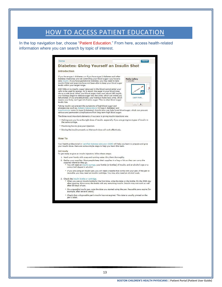## HOW TO ACCESS PATIENT EDUCATION

<span id="page-12-0"></span>In the top navigation bar, choose "Patient Education." From here, access health-related information where you can search by topic of interest.

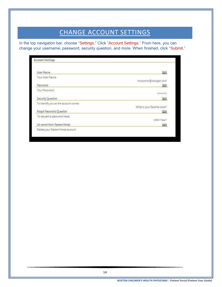# CHANGE ACCOUNT SETTINGS

<span id="page-13-0"></span>In the top navigation bar, choose "Settings." Click "Account Settings." From here, you can change your username, password, security question, and more. When finished, click "Submit."

| User Name                            | Edit                         |
|--------------------------------------|------------------------------|
| Your User Name                       |                              |
|                                      | moconnor@nextgen.com         |
| Password                             | Edit                         |
| Your Password                        |                              |
|                                      | ********                     |
| Security Question                    | Edit                         |
| To identify you as the account owner |                              |
|                                      | What is your favorite color? |
| Forgot Password Question             | Edit                         |
| To request a password reset          |                              |
|                                      | UGM Year?                    |
| Un-enroll from Patient Portal        | Edit                         |